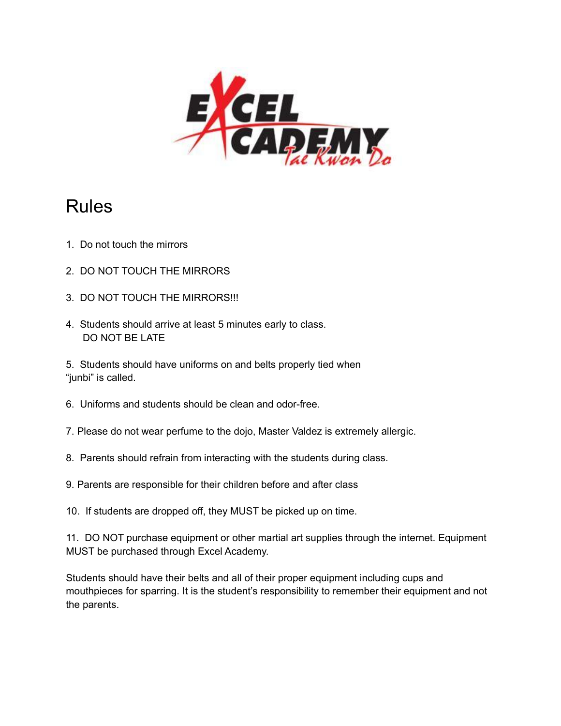

### Rules

- 1. Do not touch the mirrors
- 2. DO NOT TOUCH THE MIRRORS
- 3. DO NOT TOUCH THE MIRRORS!!!
- 4. Students should arrive at least 5 minutes early to class. DO NOT BE LATE
- 5. Students should have uniforms on and belts properly tied when "junbi" is called.
- 6. Uniforms and students should be clean and odor-free.
- 7. Please do not wear perfume to the dojo, Master Valdez is extremely allergic.
- 8. Parents should refrain from interacting with the students during class.
- 9. Parents are responsible for their children before and after class
- 10. If students are dropped off, they MUST be picked up on time.

11. DO NOT purchase equipment or other martial art supplies through the internet. Equipment MUST be purchased through Excel Academy.

Students should have their belts and all of their proper equipment including cups and mouthpieces for sparring. It is the student's responsibility to remember their equipment and not the parents.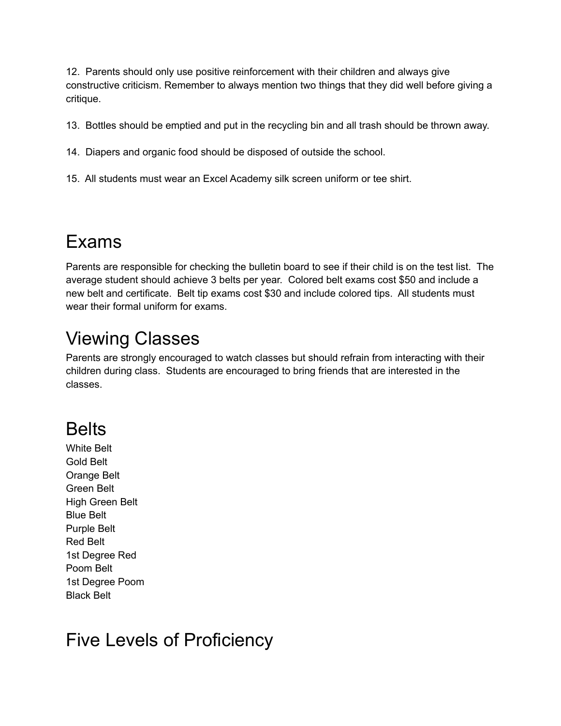12. Parents should only use positive reinforcement with their children and always give constructive criticism. Remember to always mention two things that they did well before giving a critique.

13. Bottles should be emptied and put in the recycling bin and all trash should be thrown away.

- 14. Diapers and organic food should be disposed of outside the school.
- 15. All students must wear an Excel Academy silk screen uniform or tee shirt.

## Exams

Parents are responsible for checking the bulletin board to see if their child is on the test list. The average student should achieve 3 belts per year. Colored belt exams cost \$50 and include a new belt and certificate. Belt tip exams cost \$30 and include colored tips. All students must wear their formal uniform for exams.

# Viewing Classes

Parents are strongly encouraged to watch classes but should refrain from interacting with their children during class. Students are encouraged to bring friends that are interested in the classes.

# Belts

White Belt Gold Belt Orange Belt Green Belt High Green Belt Blue Belt Purple Belt Red Belt 1st Degree Red Poom Belt 1st Degree Poom Black Belt

# Five Levels of Proficiency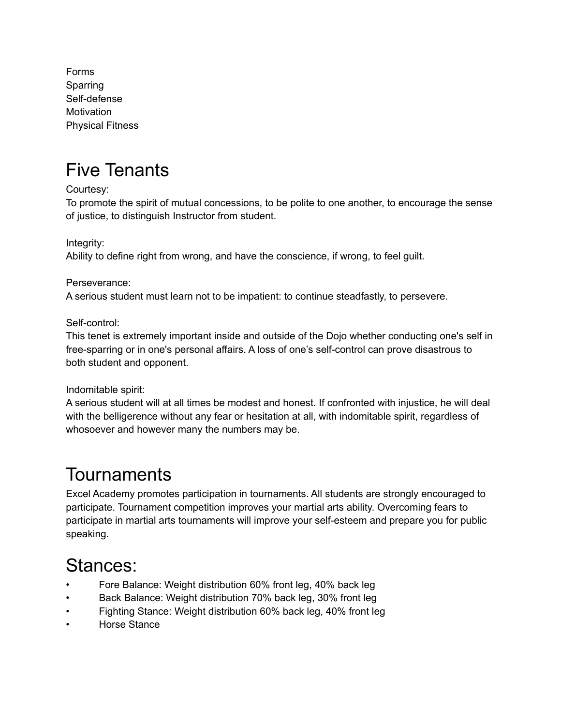Forms Sparring Self-defense **Motivation** Physical Fitness

### Five Tenants

Courtesy:

To promote the spirit of mutual concessions, to be polite to one another, to encourage the sense of justice, to distinguish Instructor from student.

Integrity:

Ability to define right from wrong, and have the conscience, if wrong, to feel guilt.

Perseverance:

A serious student must learn not to be impatient: to continue steadfastly, to persevere.

Self-control:

This tenet is extremely important inside and outside of the Dojo whether conducting one's self in free-sparring or in one's personal affairs. A loss of one's self-control can prove disastrous to both student and opponent.

Indomitable spirit:

A serious student will at all times be modest and honest. If confronted with injustice, he will deal with the belligerence without any fear or hesitation at all, with indomitable spirit, regardless of whosoever and however many the numbers may be.

# **Tournaments**

Excel Academy promotes participation in tournaments. All students are strongly encouraged to participate. Tournament competition improves your martial arts ability. Overcoming fears to participate in martial arts tournaments will improve your self-esteem and prepare you for public speaking.

## Stances:

- Fore Balance: Weight distribution 60% front leg, 40% back leg
- Back Balance: Weight distribution 70% back leg, 30% front leg
- Fighting Stance: Weight distribution 60% back leg, 40% front leg
- Horse Stance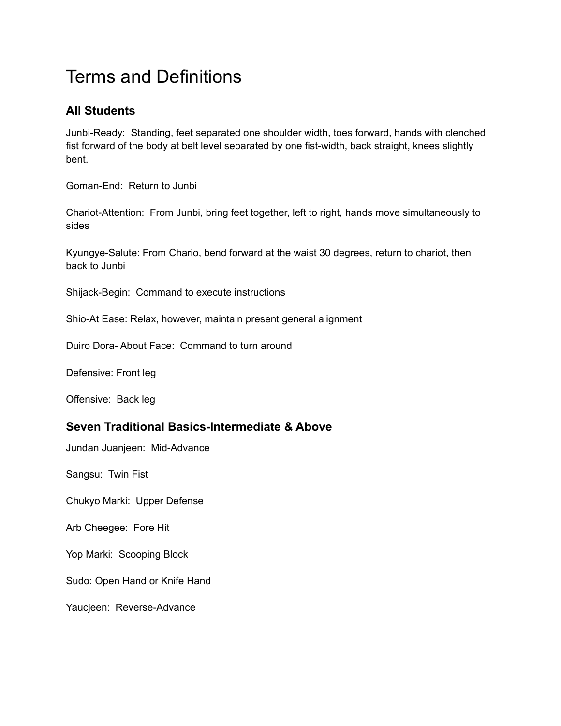# Terms and Definitions

### **All Students**

Junbi-Ready: Standing, feet separated one shoulder width, toes forward, hands with clenched fist forward of the body at belt level separated by one fist-width, back straight, knees slightly bent.

Goman-End: Return to Junbi

Chariot-Attention: From Junbi, bring feet together, left to right, hands move simultaneously to sides

Kyungye-Salute: From Chario, bend forward at the waist 30 degrees, return to chariot, then back to Junbi

Shijack-Begin: Command to execute instructions

Shio-At Ease: Relax, however, maintain present general alignment

Duiro Dora- About Face: Command to turn around

Defensive: Front leg

Offensive: Back leg

### **Seven Traditional Basics-Intermediate & Above**

Jundan Juanjeen: Mid-Advance

Sangsu: Twin Fist

Chukyo Marki: Upper Defense

Arb Cheegee: Fore Hit

Yop Marki: Scooping Block

Sudo: Open Hand or Knife Hand

Yaucjeen: Reverse-Advance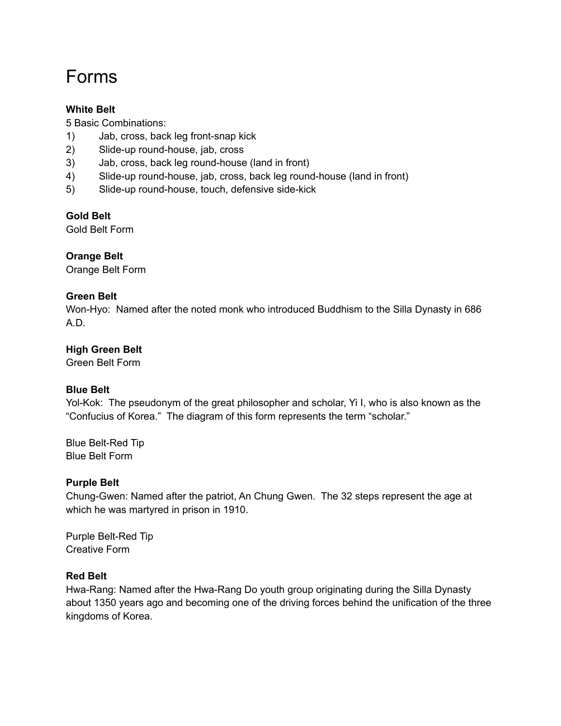# Forms

#### **White Belt**

5 Basic Combinations:

- 1) Jab, cross, back leg front-snap kick
- 2) Slide-up round-house, jab, cross
- 3) Jab, cross, back leg round-house (land in front)
- 4) Slide-up round-house, jab, cross, back leg round-house (land in front)
- 5) Slide-up round-house, touch, defensive side-kick

#### **Gold Belt**

Gold Belt Form

### **Orange Belt**

Orange Belt Form

#### **Green Belt**

Won-Hyo: Named after the noted monk who introduced Buddhism to the Silla Dynasty in 686 A.D.

#### **High Green Belt**

Green Belt Form

#### **Blue Belt**

Yol-Kok: The pseudonym of the great philosopher and scholar, Yi I, who is also known as the "Confucius of Korea." The diagram of this form represents the term "scholar."

Blue Belt-Red Tip Blue Belt Form

#### **Purple Belt**

Chung-Gwen: Named after the patriot, An Chung Gwen. The 32 steps represent the age at which he was martyred in prison in 1910.

Purple Belt-Red Tip Creative Form

#### **Red Belt**

Hwa-Rang: Named after the Hwa-Rang Do youth group originating during the Silla Dynasty about 1350 years ago and becoming one of the driving forces behind the unification of the three kingdoms of Korea.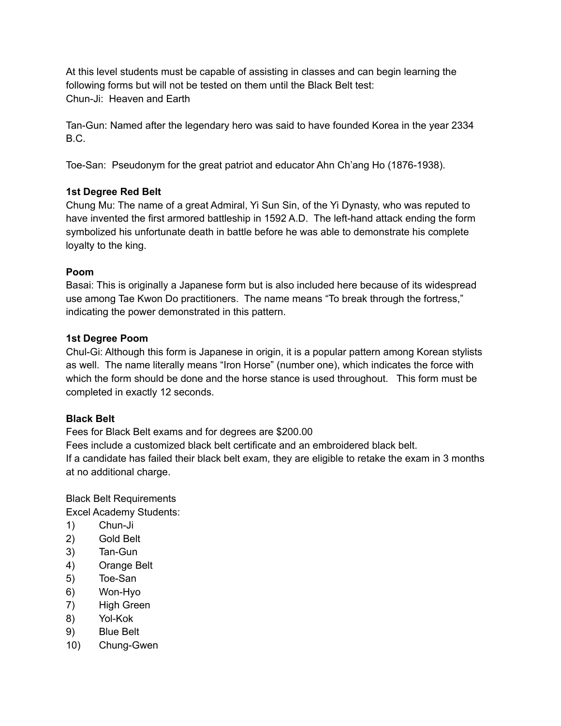At this level students must be capable of assisting in classes and can begin learning the following forms but will not be tested on them until the Black Belt test: Chun-Ji: Heaven and Earth

Tan-Gun: Named after the legendary hero was said to have founded Korea in the year 2334 B.C.

Toe-San: Pseudonym for the great patriot and educator Ahn Ch'ang Ho (1876-1938).

### **1st Degree Red Belt**

Chung Mu: The name of a great Admiral, Yi Sun Sin, of the Yi Dynasty, who was reputed to have invented the first armored battleship in 1592 A.D. The left-hand attack ending the form symbolized his unfortunate death in battle before he was able to demonstrate his complete loyalty to the king.

### **Poom**

Basai: This is originally a Japanese form but is also included here because of its widespread use among Tae Kwon Do practitioners. The name means "To break through the fortress," indicating the power demonstrated in this pattern.

#### **1st Degree Poom**

Chul-Gi: Although this form is Japanese in origin, it is a popular pattern among Korean stylists as well. The name literally means "Iron Horse" (number one), which indicates the force with which the form should be done and the horse stance is used throughout. This form must be completed in exactly 12 seconds.

### **Black Belt**

Fees for Black Belt exams and for degrees are \$200.00

Fees include a customized black belt certificate and an embroidered black belt.

If a candidate has failed their black belt exam, they are eligible to retake the exam in 3 months at no additional charge.

Black Belt Requirements

Excel Academy Students:

- 1) Chun-Ji
- 2) Gold Belt
- 3) Tan-Gun
- 4) Orange Belt
- 5) Toe-San
- 6) Won-Hyo
- 7) High Green
- 8) Yol-Kok
- 9) Blue Belt
- 10) Chung-Gwen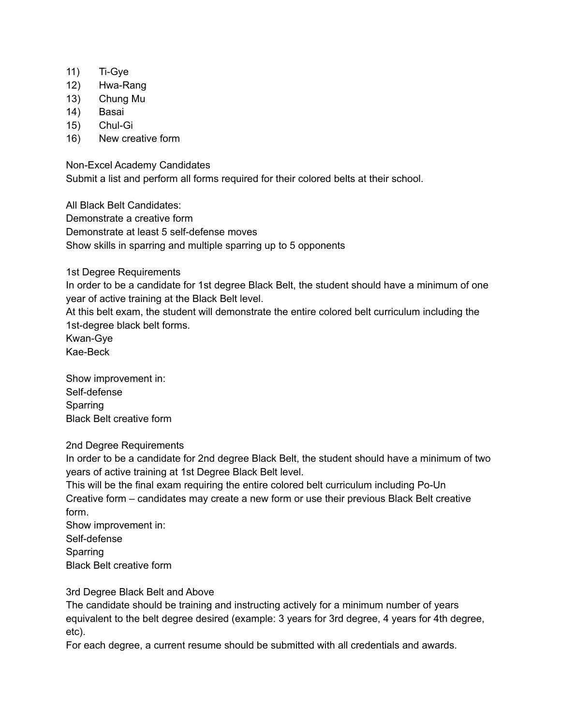- 11) Ti-Gye
- 12) Hwa-Rang
- 13) Chung Mu
- 14) Basai
- 15) Chul-Gi
- 16) New creative form

Non-Excel Academy Candidates

Submit a list and perform all forms required for their colored belts at their school.

All Black Belt Candidates: Demonstrate a creative form Demonstrate at least 5 self-defense moves Show skills in sparring and multiple sparring up to 5 opponents

1st Degree Requirements

In order to be a candidate for 1st degree Black Belt, the student should have a minimum of one year of active training at the Black Belt level.

At this belt exam, the student will demonstrate the entire colored belt curriculum including the 1st-degree black belt forms.

Kwan-Gye Kae-Beck

Show improvement in: Self-defense Sparring Black Belt creative form

#### 2nd Degree Requirements

In order to be a candidate for 2nd degree Black Belt, the student should have a minimum of two years of active training at 1st Degree Black Belt level.

This will be the final exam requiring the entire colored belt curriculum including Po-Un Creative form – candidates may create a new form or use their previous Black Belt creative form.

Show improvement in: Self-defense Sparring

Black Belt creative form

#### 3rd Degree Black Belt and Above

The candidate should be training and instructing actively for a minimum number of years equivalent to the belt degree desired (example: 3 years for 3rd degree, 4 years for 4th degree, etc).

For each degree, a current resume should be submitted with all credentials and awards.